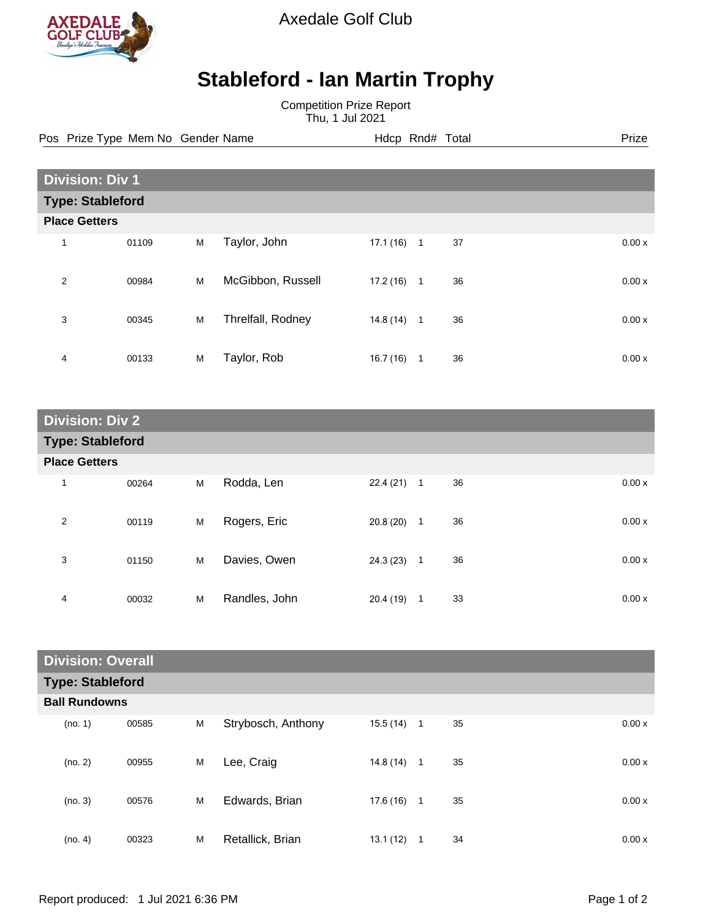

Axedale Golf Club

## **Stableford - Ian Martin Trophy**

Competition Prize Report Thu, 1 Jul 2021

Pos Prize Type Mem No Gender Name **Hdcp Rnd# Total** Prize Prize

| <b>Division: Div 1</b>  |                      |   |                   |           |              |    |  |       |
|-------------------------|----------------------|---|-------------------|-----------|--------------|----|--|-------|
| <b>Type: Stableford</b> |                      |   |                   |           |              |    |  |       |
|                         | <b>Place Getters</b> |   |                   |           |              |    |  |       |
| 1                       | 01109                | M | Taylor, John      | 17.1(16)  | $\mathbf{1}$ | 37 |  | 0.00x |
| $\overline{2}$          | 00984                | M | McGibbon, Russell | 17.2(16)  | 1            | 36 |  | 0.00x |
| 3                       | 00345                | M | Threlfall, Rodney | 14.8 (14) | $\mathbf{1}$ | 36 |  | 0.00x |
| 4                       | 00133                | M | Taylor, Rob       | 16.7(16)  | 1            | 36 |  | 0.00x |

| <b>Division: Div 2</b>  |       |   |               |              |                |    |       |  |
|-------------------------|-------|---|---------------|--------------|----------------|----|-------|--|
| <b>Type: Stableford</b> |       |   |               |              |                |    |       |  |
| <b>Place Getters</b>    |       |   |               |              |                |    |       |  |
| 1                       | 00264 | M | Rodda, Len    | $22.4(21)$ 1 |                | 36 | 0.00x |  |
| 2                       | 00119 | M | Rogers, Eric  | 20.8(20)     | $\overline{1}$ | 36 | 0.00x |  |
| 3                       | 01150 | M | Davies, Owen  | 24.3(23)     | $\overline{1}$ | 36 | 0.00x |  |
| 4                       | 00032 | M | Randles, John | 20.4 (19)    | $\mathbf{1}$   | 33 | 0.00x |  |

| <b>Division: Overall</b> |       |   |                    |              |   |    |       |
|--------------------------|-------|---|--------------------|--------------|---|----|-------|
| <b>Type: Stableford</b>  |       |   |                    |              |   |    |       |
| <b>Ball Rundowns</b>     |       |   |                    |              |   |    |       |
| (no. 1)                  | 00585 | M | Strybosch, Anthony | $15.5(14)$ 1 |   | 35 | 0.00x |
| (no. 2)                  | 00955 | M | Lee, Craig         | 14.8(14)     | 1 | 35 | 0.00x |
| (no. 3)                  | 00576 | M | Edwards, Brian     | $17.6(16)$ 1 |   | 35 | 0.00x |
| (no. 4)                  | 00323 | M | Retallick, Brian   | 13.1(12)     | 1 | 34 | 0.00x |